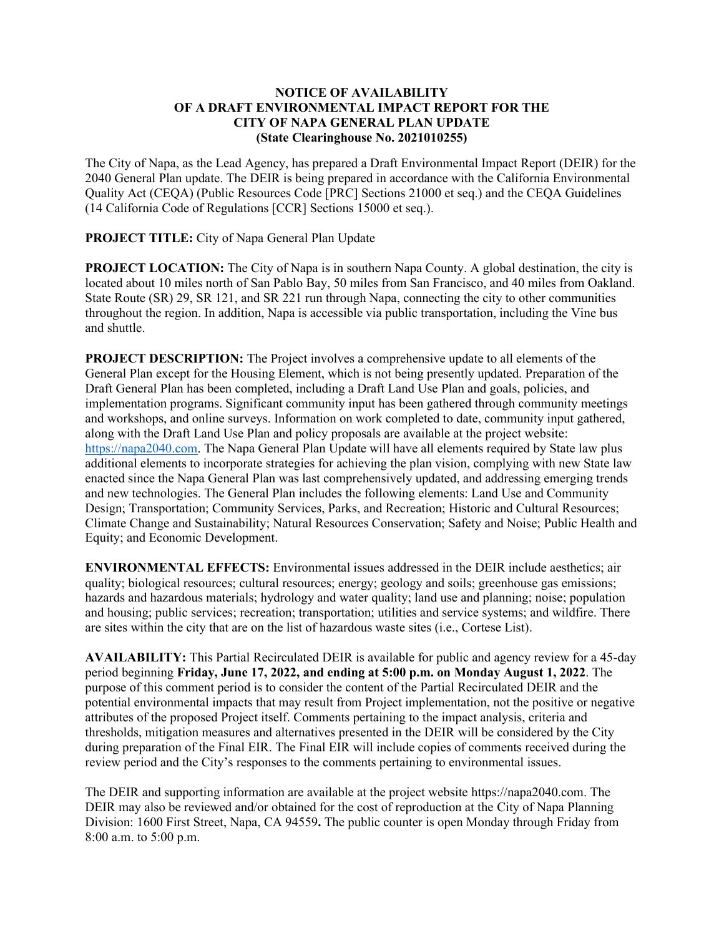## **NOTICE OF AVAILABILITY OF A DRAFT ENVIRONMENTAL IMPACT REPORT FOR THE CITY OF NAPA GENERAL PLAN UPDATE (State Clearinghouse No. 2021010255)**

The City of Napa, as the Lead Agency, has prepared a Draft Environmental Impact Report (DEIR) for the 2040 General Plan update. The DEIR is being prepared in accordance with the California Environmental Quality Act (CEQA) (Public Resources Code [PRC] Sections 21000 et seq.) and the CEQA Guidelines (14 California Code of Regulations [CCR] Sections 15000 et seq.).

**PROJECT TITLE:** City of Napa General Plan Update

**PROJECT LOCATION:** The City of Napa is in southern Napa County. A global destination, the city is located about 10 miles north of San Pablo Bay, 50 miles from San Francisco, and 40 miles from Oakland. State Route (SR) 29, SR 121, and SR 221 run through Napa, connecting the city to other communities throughout the region. In addition, Napa is accessible via public transportation, including the Vine bus and shuttle.

**PROJECT DESCRIPTION:** The Project involves a comprehensive update to all elements of the General Plan except for the Housing Element, which is not being presently updated. Preparation of the Draft General Plan has been completed, including a Draft Land Use Plan and goals, policies, and implementation programs. Significant community input has been gathered through community meetings and workshops, and online surveys. Information on work completed to date, community input gathered, along with the Draft Land Use Plan and policy proposals are available at the project website: [https://napa2040.com.](https://napa2040.com/) The Napa General Plan Update will have all elements required by State law plus additional elements to incorporate strategies for achieving the plan vision, complying with new State law enacted since the Napa General Plan was last comprehensively updated, and addressing emerging trends and new technologies. The General Plan includes the following elements: Land Use and Community Design; Transportation; Community Services, Parks, and Recreation; Historic and Cultural Resources; Climate Change and Sustainability; Natural Resources Conservation; Safety and Noise; Public Health and Equity; and Economic Development.

**ENVIRONMENTAL EFFECTS:** Environmental issues addressed in the DEIR include aesthetics; air quality; biological resources; cultural resources; energy; geology and soils; greenhouse gas emissions; hazards and hazardous materials; hydrology and water quality; land use and planning; noise; population and housing; public services; recreation; transportation; utilities and service systems; and wildfire. There are sites within the city that are on the list of hazardous waste sites (i.e., Cortese List).

**AVAILABILITY:** This Partial Recirculated DEIR is available for public and agency review for a 45-day period beginning **Friday, June 17, 2022, and ending at 5:00 p.m. on Monday August 1, 2022**. The purpose of this comment period is to consider the content of the Partial Recirculated DEIR and the potential environmental impacts that may result from Project implementation, not the positive or negative attributes of the proposed Project itself. Comments pertaining to the impact analysis, criteria and thresholds, mitigation measures and alternatives presented in the DEIR will be considered by the City during preparation of the Final EIR. The Final EIR will include copies of comments received during the review period and the City's responses to the comments pertaining to environmental issues.

The DEIR and supporting information are available at the project website https://napa2040.com. The DEIR may also be reviewed and/or obtained for the cost of reproduction at the City of Napa Planning Division: 1600 First Street, Napa, CA 94559**.** The public counter is open Monday through Friday from 8:00 a.m. to 5:00 p.m.